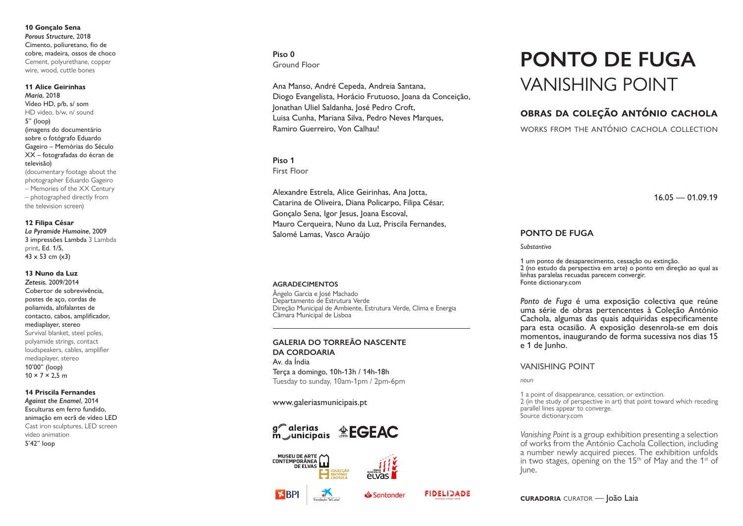**10 Gonçalo Sena** *Porous Structure*, 2018 Cimento, poliuretano, fio de cobre, madeira, ossos de choco Cement, polyurethane, copper wire, wood, cuttle bones

### **11 Alice Geirinhas**

*Maria*, 2018 Vídeo HD, p/b, s/ som HD video, b/w, n/ sound 5'' (loop) (imagens do documentário sobre o fotógrafo Eduardo Gageiro – Memórias do Século XX – fotografadas do écran de televisão) (documentary footage about the photographer Eduardo Gageiro – Memories of the XX Century – photographed directly from the television screen )

# **12 Filipa César** *La Pyramide Humaine*, 2009

3 impressões Lambda 3 Lambda print, Ed. 1/5,  $43 \times 53$  cm  $(x3)$ 

# **13 Nuno da Luz**

*Zetesis*, 2009/2014 Cobertor de sobrevivência, postes de aço, cordas de poliamida, altifalantes de contacto, cabos, amplificador, mediaplayer, stereo Survival blanket, steel poles, polyamide strings, contact loudspeakers, cables, amplifier mediaplayer, stereo 10'00'' (loop)  $10 \times 7 \times 2.5$  m

### **14 Priscila Fernandes**

*Against the Enamel*, 2014 Esculturas em ferro fundido, animação em ecrã de v ídeo LED Cast iron sculptures, LED screen video animation 5'42'' loop

# **Piso 0** Ground Floor

Ana Manso, André Cepeda, Andreia Santana, Diogo Evangelista, Horácio Frutuoso, Joana da Conceição, Jonathan Uliel Saldanha, José Pedro Croft, Luisa Cunha, Mariana Silva, Pedro Neves Marques, Ramiro Guerreiro, Von Calhau!

### **Piso 1**

First Floor

Alexandre Estrela, Alice Geirinhas, Ana Jotta, Catarina de Oliveira, Diana Policarpo, Filipa César, Gonçalo Sena, Igor Jesus, Joana Escoval, Mauro Cerqueira, Nuno da Luz, Priscila Fernandes, Salomé Lamas, Vasco Araújo

### **AGRADECIMENTOS**

Ângelo Garcia e José Machado Departamento de Estrutura Verde Direção Municipal de Ambiente, Estrutura Verde, Clima e Energia Câmara Municipal de Lisboa

### **GALERIA DO TORREÃO NASCENTE DA CORDOARIA**

Av. da Índia Terça a domingo, 10h-13h / 14h-18h Tuesday to sunday, 10am-1pm / 2pm-6pm

### www. g aleri asmunicip ais.pt









Santander

### **FIDELIDADE**

# **PONTO DE FUGA** VANISHING POINT

# **obras da coleção antónio cachola**

works from the antónio cachola collection

 $16.05 - 01.09.19$ 

## **PONTO DE FUGA**

#### *Substantivo*

1 um ponto de desaparecimento, cessação ou extinção. 2 (no estudo da perspectiva em arte) o ponto em direção ao qual as linhas paralelas recuadas parecem convergir. Fonte dictionary.com

*Ponto de Fuga* é uma exposição colectiva que reúne uma série de obras pertencentes à Coleção António Cachola, algumas das quais adquiridas especificamente para esta ocasião. A exposição desenrola-se em dois momentos, inaugurando de forma sucessiva nos dias 15 e 1 de Junho.

### VANISHING POINT

*noun*

1 a point of disappearance, cessation, or extinction . 2 (in the study of perspective in art) that point toward which receding parallel lines appear to converge. Source dictionary.com

*Vanishing Point* is a group exhibition presenting a selection of works from the António Cachola Collection, including a number newly acquired pieces. The exhibition unfolds in two stages, opening on the  $15<sup>th</sup>$  of May and the  $1<sup>st</sup>$  of lune.